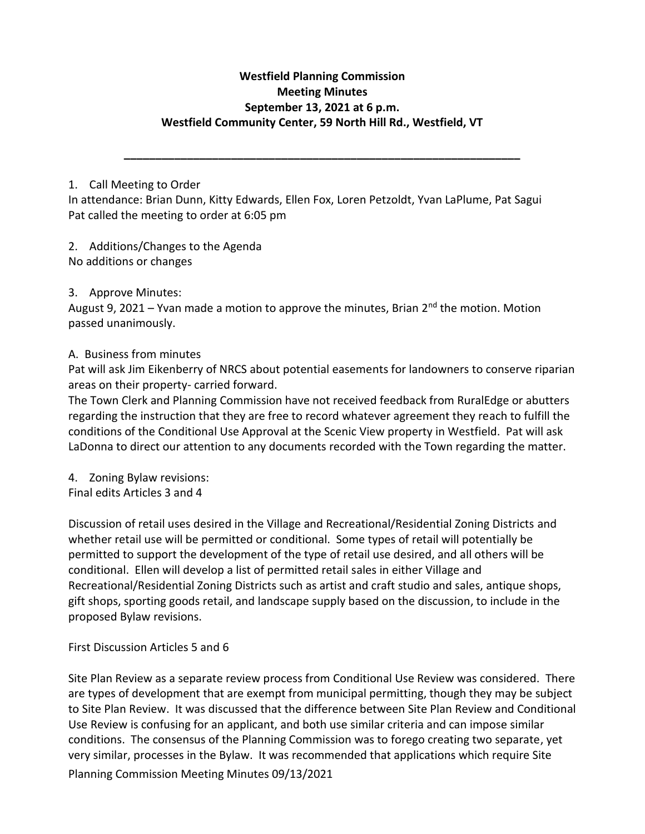# **Westfield Planning Commission Meeting Minutes September 13, 2021 at 6 p.m. Westfield Community Center, 59 North Hill Rd., Westfield, VT**

**\_\_\_\_\_\_\_\_\_\_\_\_\_\_\_\_\_\_\_\_\_\_\_\_\_\_\_\_\_\_\_\_\_\_\_\_\_\_\_\_\_\_\_\_\_\_\_\_\_\_\_\_\_\_\_\_\_\_\_\_\_\_\_**

### 1. Call Meeting to Order

In attendance: Brian Dunn, Kitty Edwards, Ellen Fox, Loren Petzoldt, Yvan LaPlume, Pat Sagui Pat called the meeting to order at 6:05 pm

2. Additions/Changes to the Agenda No additions or changes

## 3. Approve Minutes:

August 9, 2021 – Yvan made a motion to approve the minutes, Brian  $2^{nd}$  the motion. Motion passed unanimously.

## A. Business from minutes

Pat will ask Jim Eikenberry of NRCS about potential easements for landowners to conserve riparian areas on their property- carried forward.

The Town Clerk and Planning Commission have not received feedback from RuralEdge or abutters regarding the instruction that they are free to record whatever agreement they reach to fulfill the conditions of the Conditional Use Approval at the Scenic View property in Westfield. Pat will ask LaDonna to direct our attention to any documents recorded with the Town regarding the matter.

4. Zoning Bylaw revisions: Final edits Articles 3 and 4

Discussion of retail uses desired in the Village and Recreational/Residential Zoning Districts and whether retail use will be permitted or conditional. Some types of retail will potentially be permitted to support the development of the type of retail use desired, and all others will be conditional. Ellen will develop a list of permitted retail sales in either Village and Recreational/Residential Zoning Districts such as artist and craft studio and sales, antique shops, gift shops, sporting goods retail, and landscape supply based on the discussion, to include in the proposed Bylaw revisions.

## First Discussion Articles 5 and 6

Planning Commission Meeting Minutes 09/13/2021 Site Plan Review as a separate review process from Conditional Use Review was considered. There are types of development that are exempt from municipal permitting, though they may be subject to Site Plan Review. It was discussed that the difference between Site Plan Review and Conditional Use Review is confusing for an applicant, and both use similar criteria and can impose similar conditions. The consensus of the Planning Commission was to forego creating two separate, yet very similar, processes in the Bylaw. It was recommended that applications which require Site